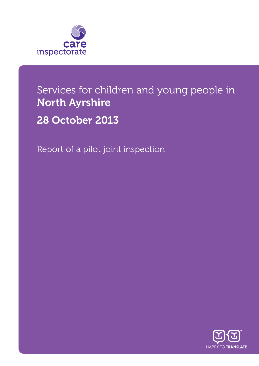

## Services for children and young people in North Ayrshire

28 October 2013

Report of a pilot joint inspection

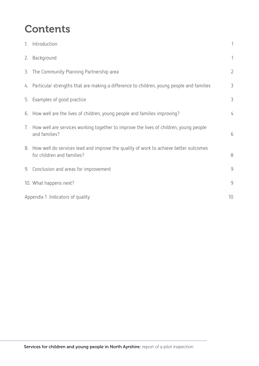## **Contents**

|                                        | 1. Introduction                                                                                                       | $\mathbf{1}$   |
|----------------------------------------|-----------------------------------------------------------------------------------------------------------------------|----------------|
|                                        | 2. Background                                                                                                         | $\mathbf{1}$   |
|                                        | 3. The Community Planning Partnership area                                                                            | $\overline{2}$ |
|                                        | 4. Particular strengths that are making a difference to children, young people and families                           | 3              |
|                                        | 5. Examples of good practice                                                                                          | 3              |
|                                        | 6. How well are the lives of children, young people and families improving?                                           | 4              |
| 7.                                     | How well are services working together to improve the lives of children, young people<br>and families?                | 6              |
|                                        | 8. How well do services lead and improve the quality of work to achieve better outcomes<br>for children and families? | $8\,$          |
|                                        | 9. Conclusion and areas for improvement                                                                               | 9              |
|                                        | 10. What happens next?                                                                                                | 9              |
| 10<br>Appendix 1 Indicators of quality |                                                                                                                       |                |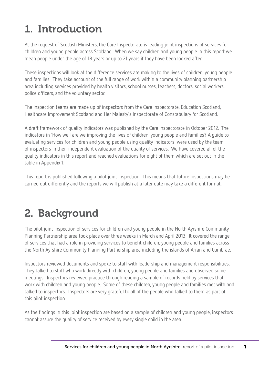# 1. Introduction

At the request of Scottish Ministers, the Care Inspectorate is leading joint inspections of services for children and young people across Scotland. When we say children and young people in this report we mean people under the age of 18 years or up to 21 years if they have been looked after.

These inspections will look at the difference services are making to the lives of children, young people and families. They take account of the full range of work within a community planning partnership area including services provided by health visitors, school nurses, teachers, doctors, social workers, police officers, and the voluntary sector.

The inspection teams are made up of inspectors from the Care Inspectorate, Education Scotland, Healthcare Improvement Scotland and Her Majesty's Inspectorate of Constabulary for Scotland.

A draft framework of quality indicators was published by the Care Inspectorate in October 2012. The indicators in 'How well are we improving the lives of children, young people and families? A guide to evaluating services for children and young people using quality indicators' were used by the team of inspectors in their independent evaluation of the quality of services. We have covered all of the quality indicators in this report and reached evaluations for eight of them which are set out in the table in Appendix 1.

This report is published following a pilot joint inspection. This means that future inspections may be carried out differently and the reports we will publish at a later date may take a different format.

# 2. Background

The pilot joint inspection of services for children and young people in the North Ayrshire Community Planning Partnership area took place over three weeks in March and April 2013. It covered the range of services that had a role in providing services to benefit children, young people and families across the North Ayrshire Community Planning Partnership area including the islands of Arran and Cumbrae.

Inspectors reviewed documents and spoke to staff with leadership and management responsibilities. They talked to staff who work directly with children, young people and families and observed some meetings. Inspectors reviewed practice through reading a sample of records held by services that work with children and young people. Some of these children, young people and families met with and talked to inspectors. Inspectors are very grateful to all of the people who talked to them as part of this pilot inspection.

As the findings in this joint inspection are based on a sample of children and young people, inspectors cannot assure the quality of service received by every single child in the area.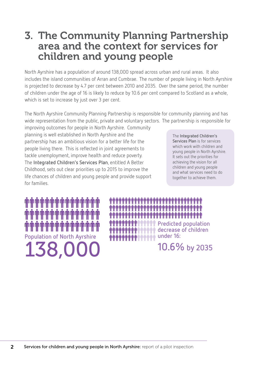### 3. The Community Planning Partnership area and the context for services for children and young people

North Ayrshire has a population of around 138,000 spread across urban and rural areas. It also includes the island communities of Arran and Cumbrae. The number of people living in North Ayrshire is projected to decrease by 4.7 per cent between 2010 and 2035. Over the same period, the number of children under the age of 16 is likely to reduce by 10.6 per cent compared to Scotland as a whole, which is set to increase by just over 3 per cent.

The North Ayrshire Community Planning Partnership is responsible for community planning and has wide representation from the public, private and voluntary sectors. The partnership is responsible for improving outcomes for people in North Ayrshire. Community

planning is well established in North Ayrshire and the partnership has an ambitious vision for a better life for the people living there. This is reflected in joint agreements to tackle unemployment, improve health and reduce poverty. The **Integrated Children's Services Plan**, entitled A Better Childhood, sets out clear priorities up to 2015 to improve the life chances of children and young people and provide support for families.

The **Integrated Children's Services Plan** is for services which work with children and young people in North Ayrshire. It sets out the priorities for achieving the vision for all children and young people and what services need to do together to achieve them.

138,00 **Population of North Ayrshire**

**Predicted population decrease of children under 16: in finition** 

```
10.6% by 2035
```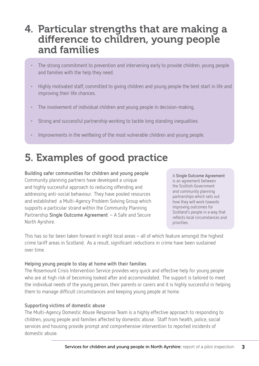#### 4. Particular strengths that are making a difference to children, young people and families

- The strong commitment to prevention and intervening early to provide children, young people and families with the help they need.
- Highly motivated staff, committed to giving children and young people the best start in life and improving their life chances.
- The involvement of individual children and young people in decision-making.
- Strong and successful partnership working to tackle long standing inequalities.
- Improvements in the wellbeing of the most vulnerable children and young people.

## 5. Examples of good practice

**Building safer communities for children and young people** Community planning partners have developed a unique and highly successful approach to reducing offending and addressing anti-social behaviour. They have pooled resources and established a Multi-Agency Problem Solving Group which supports a particular strand within the Community Planning Partnership **Single Outcome Agreement** – A Safe and Secure North Ayrshire.

A **Single Outcome Agreement**  is an agreement between the Scottish Government and community planning partnerships which sets out how they will work towards improving outcomes for Scotland's people in a way that reflects local circumstances and priorities.

This has so far been taken forward in eight local areas – all of which feature amongst the highest crime tariff areas in Scotland. As a result, significant reductions in crime have been sustained over time.

#### **Helping young people to stay at home with their families**

The Rosemount Crisis Intervention Service provides very quick and effective help for young people who are at high risk of becoming looked after and accommodated. The support is tailored to meet the individual needs of the young person, their parents or carers and it is highly successful in helping them to manage difficult circumstances and keeping young people at home.

#### **Supporting victims of domestic abuse**

The Multi-Agency Domestic Abuse Response Team is a highly effective approach to responding to children, young people and families affected by domestic abuse. Staff from health, police, social services and housing provide prompt and comprehensive intervention to reported incidents of domestic abuse.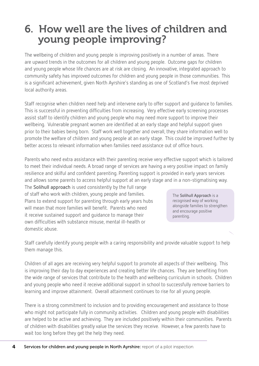### 6. How well are the lives of children and young people improving?

The wellbeing of children and young people is improving positively in a number of areas. There are upward trends in the outcomes for all children and young people. Outcome gaps for children and young people whose life chances are at risk are closing. An innovative, integrated approach to community safety has improved outcomes for children and young people in those communities. This is a significant achievement, given North Ayrshire's standing as one of Scotland's five most deprived local authority areas.

Staff recognise when children need help and intervene early to offer support and guidance to families. This is successful in preventing difficulties from increasing. Very effective early screening processes assist staff to identify children and young people who may need more support to improve their wellbeing. Vulnerable pregnant women are identified at an early stage and helpful support given prior to their babies being born. Staff work well together and overall, they share information well to promote the welfare of children and young people at an early stage. This could be improved further by better access to relevant information when families need assistance out of office hours.

Parents who need extra assistance with their parenting receive very effective support which is tailored to meet their individual needs. A broad range of services are having a very positive impact on family resilience and skilful and confident parenting. Parenting support is provided in early years services and allows some parents to access helpful support at an early stage and in a non-stigmatising way.

The **Solihull approach** is used consistently by the full range of staff who work with children, young people and families. Plans to extend support for parenting through early years hubs will mean that more families will benefit. Parents who need it receive sustained support and guidance to manage their own difficulties with substance misuse, mental ill-health or domestic abuse.

The **Solihull Approach** is a recognised way of working alongside families to strengthen and encourage positive parenting.

Staff carefully identify young people with a caring responsibility and provide valuable support to help them manage this.

Children of all ages are receiving very helpful support to promote all aspects of their wellbeing. This is improving their day to day experiences and creating better life chances. They are benefiting from the wide range of services that contribute to the health and wellbeing curriculum in schools. Children and young people who need it receive additional support in school to successfully remove barriers to learning and improve attainment. Overall attainment continues to rise for all young people.

There is a strong commitment to inclusion and to providing encouragement and assistance to those who might not participate fully in community activities. Children and young people with disabilities are helped to be active and achieving. They are included positively within their communities. Parents of children with disabilities greatly value the services they receive. However, a few parents have to wait too long before they get the help they need.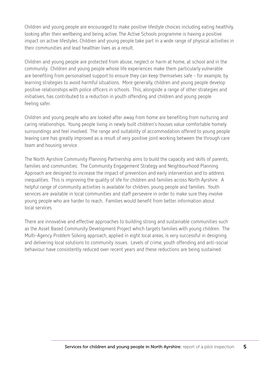Children and young people are encouraged to make positive lifestyle choices including eating healthily, looking after their wellbeing and being active. The Active Schools programme is having a positive impact on active lifestyles. Children and young people take part in a wide range of physical activities in their communities and lead healthier lives as a result.

Children and young people are protected from abuse, neglect or harm at home, at school and in the community. Children and young people whose life experiences make them particularly vulnerable are benefiting from personalised support to ensure they can keep themselves safe - for example, by learning strategies to avoid harmful situations. More generally, children and young people develop positive relationships with police officers in schools. This, alongside a range of other strategies and initiatives, has contributed to a reduction in youth offending and children and young people feeling safer.

Children and young people who are looked after away from home are benefiting from nurturing and caring relationships. Young people living in newly built children's houses value comfortable homely surroundings and feel involved. The range and suitability of accommodation offered to young people leaving care has greatly improved as a result of very positive joint working between the through care team and housing service.

The North Ayrshire Community Planning Partnership aims to build the capacity and skills of parents, families and communities. The Community Engagement Strategy and Neighbourhood Planning Approach are designed to increase the impact of prevention and early intervention and to address inequalities. This is improving the quality of life for children and families across North Ayrshire. A helpful range of community activities is available for children, young people and families. Youth services are available in local communities and staff persevere in order to make sure they involve young people who are harder to reach. Families would benefit from better information about local services.

There are innovative and effective approaches to building strong and sustainable communities such as the Asset Based Community Development Project which targets families with young children. The Multi-Agency Problem Solving approach, applied in eight local areas, is very successful in designing and delivering local solutions to community issues. Levels of crime, youth offending and anti-social behaviour have consistently reduced over recent years and these reductions are being sustained.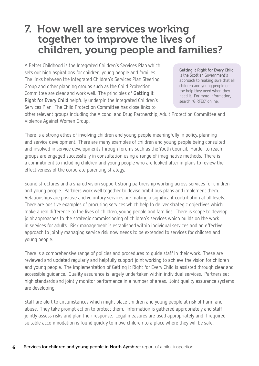### 7. How well are services working together to improve the lives of children, young people and families?

A Better Childhood is the Integrated Children's Services Plan which sets out high aspirations for children, young people and families. The links between the Integrated Children's Services Plan Steering Group and other planning groups such as the Child Protection Committee are clear and work well. The principles of **Getting it Right for Every Child** helpfully underpin the Integrated Children's Services Plan. The Child Protection Committee has close links to

**Getting it Right for Every Child**  is the Scottish Government's approach to making sure that all children and young people get the help they need when they need it. For more information, search "GIRFEC" online.

other relevant groups including the Alcohol and Drug Partnership, Adult Protection Committee and Violence Against Women Group.

There is a strong ethos of involving children and young people meaningfully in policy, planning and service development. There are many examples of children and young people being consulted and involved in service developments through forums such as the Youth Council. Harder to reach groups are engaged successfully in consultation using a range of imaginative methods. There is a commitment to including children and young people who are looked after in plans to review the effectiveness of the corporate parenting strategy.

Sound structures and a shared vision support strong partnership working across services for children and young people. Partners work well together to devise ambitious plans and implement them. Relationships are positive and voluntary services are making a significant contribution at all levels. There are positive examples of procuring services which help to deliver strategic objectives which make a real difference to the lives of children, young people and families. There is scope to develop joint approaches to the strategic commissioning of children's services which builds on the work in services for adults. Risk management is established within individual services and an effective approach to jointly managing service risk now needs to be extended to services for children and young people.

There is a comprehensive range of policies and procedures to guide staff in their work. These are reviewed and updated regularly and helpfully support joint working to achieve the vision for children and young people. The implementation of Getting it Right for Every Child is assisted through clear and accessible guidance. Quality assurance is largely undertaken within individual services. Partners set high standards and jointly monitor performance in a number of areas. Joint quality assurance systems are developing.

Staff are alert to circumstances which might place children and young people at risk of harm and abuse. They take prompt action to protect them. Information is gathered appropriately and staff jointly assess risks and plan their response. Legal measures are used appropriately and if required suitable accommodation is found quickly to move children to a place where they will be safe.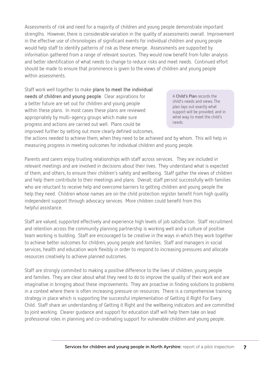Assessments of risk and need for a majority of children and young people demonstrate important strengths. However, there is considerable variation in the quality of assessments overall. Improvement in the effective use of chronologies of significant events for individual children and young people would help staff to identify patterns of risk as these emerge. Assessments are supported by information gathered from a range of relevant sources. They would now benefit from fuller analysis and better identification of what needs to change to reduce risks and meet needs. Continued effort should be made to ensure that prominence is given to the views of children and young people within assessments.

Staff work well together to make **plans to meet the individual needs of children and young people**. Clear aspirations for a better future are set out for children and young people within these plans. In most cases these plans are reviewed appropriately by multi-agency groups which make sure progress and actions are carried out well. Plans could be improved further by setting out more clearly defined outcomes,

A **Child's Plan** records the child's needs and views. The plan lays out exactly what support will be provided, and in what way, to meet the child's needs.

the actions needed to achieve them, when they need to be achieved and by whom. This will help in measuring progress in meeting outcomes for individual children and young people.

Parents and carers enjoy trusting relationships with staff across services. They are included in relevant meetings and are involved in decisions about their lives. They understand what is expected of them, and others, to ensure their children's safety and wellbeing. Staff gather the views of children and help them contribute to their meetings and plans. Overall, staff persist successfully with families who are reluctant to receive help and overcome barriers to getting children and young people the help they need. Children whose names are on the child protection register benefit from high quality independent support through advocacy services. More children could benefit from this helpful assistance.

Staff are valued, supported effectively and experience high levels of job satisfaction. Staff recruitment and retention across the community planning partnership is working well and a culture of positive team working is building. Staff are encouraged to be creative in the ways in which they work together to achieve better outcomes for children, young people and families. Staff and managers in social services, health and education work flexibly in order to respond to increasing pressures and allocate resources creatively to achieve planned outcomes.

Staff are strongly commited to making a positive difference to the lives of children, young people and families. They are clear about what they need to do to improve the quality of their work and are imaginative in bringing about these improvements. They are proactive in finding solutions to problems in a context where there is often increasing pressure on resources. There is a comprehensive training strategy in place which is supporting the successful implementation of Getting it Right For Every Child. Staff share an understanding of Getting it Right and the wellbeing indicators and are committed to joint working. Clearer guidance and support for education staff will help them take on lead professional roles in planning and co-ordinating support for vulnerable children and young people.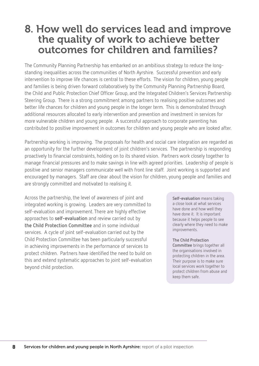#### 8. How well do services lead and improve the quality of work to achieve better outcomes for children and families?

The Community Planning Partnership has embarked on an ambitious strategy to reduce the longstanding inequalities across the communities of North Ayrshire. Successful prevention and early intervention to improve life chances is central to these efforts. The vision for children, young people and families is being driven forward collaboratively by the Community Planning Partnership Board, the Child and Public Protection Chief Officer Group, and the Integrated Children's Services Partnership Steering Group. There is a strong commitment among partners to realising positive outcomes and better life chances for children and young people in the longer term. This is demonstrated through additional resources allocated to early intervention and prevention and investment in services for more vulnerable children and young people. A successful approach to corporate parenting has contributed to positive improvement in outcomes for children and young people who are looked after.

Partnership working is improving. The proposals for health and social care integration are regarded as an opportunity for the further development of joint children's services. The partnership is responding proactively to financial constraints, holding on to its shared vision. Partners work closely together to manage financial pressures and to make savings in line with agreed priorities. Leadership of people is positive and senior managers communicate well with front line staff. Joint working is supported and encouraged by managers. Staff are clear about the vision for children, young people and families and are strongly committed and motivated to realising it.

Across the partnership, the level of awareness of joint and integrated working is growing. Leaders are very committed to self-evaluation and improvement. There are highly effective approaches to **self-evaluation** and review carried out by **the Child Protection Committee** and in some individual services. A cycle of joint self-evaluation carried out by the Child Protection Committee has been particularly successful in achieving improvements in the performance of services to protect children. Partners have identified the need to build on this and extend systematic approaches to joint self-evaluation beyond child protection.

**Self-evaluation** means taking a close look at what services have done and how well they have done it. It is important because it helps people to see clearly where they need to make improvements.

#### **The Child Protection**

**Committee** brings together all the organisations involved in protecting children in the area. Their purpose is to make sure local services work together to protect children from abuse and keep them safe.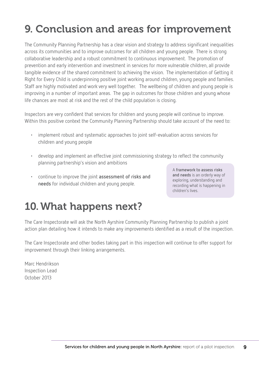# 9. Conclusion and areas for improvement

The Community Planning Partnership has a clear vision and strategy to address significant inequalities across its communities and to improve outcomes for all children and young people. There is strong collaborative leadership and a robust commitment to continuous improvement. The promotion of prevention and early intervention and investment in services for more vulnerable children, all provide tangible evidence of the shared commitment to achieving the vision. The implementation of Getting it Right for Every Child is underpinning positive joint working around children, young people and families. Staff are highly motivated and work very well together. The wellbeing of children and young people is improving in a number of important areas. The gap in outcomes for those children and young whose life chances are most at risk and the rest of the child population is closing.

Inspectors are very confident that services for children and young people will continue to improve. Within this positive context the Community Planning Partnership should take account of the need to:

- implement robust and systematic approaches to joint self-evaluation across services for children and young people
- develop and implement an effective joint commissioning strategy to reflect the community planning partnership's vision and ambitions
- continue to improve the joint **assessment of risks and needs** for individual children and young people.

A **framework to assess risks and needs** is an orderly way of exploring, understanding and recording what is happening in children's lives.

## 10.What happens next?

The Care Inspectorate will ask the North Ayrshire Community Planning Partnership to publish a joint action plan detailing how it intends to make any improvements identified as a result of the inspection.

The Care Inspectorate and other bodies taking part in this inspection will continue to offer support for improvement through their linking arrangements.

Marc Hendrikson Inspection Lead October 2013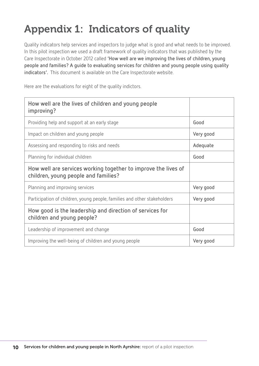# Appendix 1: Indicators of quality

Quality indicators help services and inspectors to judge what is good and what needs to be improved. In this pilot inspection we used a draft framework of quality indicators that was published by the Care Inspectorate in October 2012 called **'How well are we improving the lives of children, young people and families? A guide to evaluating services for children and young people using quality indicators'.** This document is available on the Care Inspectorate website.

Here are the evaluations for eight of the quality indictors.

| How well are the lives of children and young people<br>improving?                                      |           |
|--------------------------------------------------------------------------------------------------------|-----------|
| Providing help and support at an early stage                                                           | Good      |
| Impact on children and young people                                                                    | Very good |
| Assessing and responding to risks and needs                                                            | Adequate  |
| Planning for individual children                                                                       | Good      |
| How well are services working together to improve the lives of<br>children, young people and families? |           |
| Planning and improving services                                                                        | Very good |
| Participation of children, young people, families and other stakeholders                               | Very good |
| How good is the leadership and direction of services for<br>children and young people?                 |           |
| Leadership of improvement and change                                                                   | Good      |
| Improving the well-being of children and young people                                                  | Very good |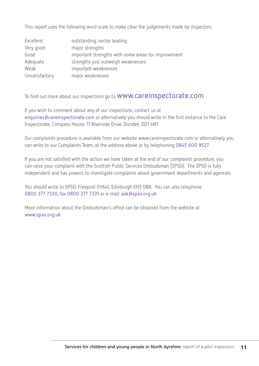This report uses the following word scale to make clear the judgements made by inspectors.

| Excellent      | outstanding, sector leading                         |
|----------------|-----------------------------------------------------|
| Very good      | major strengths                                     |
| Good           | important strengths with some areas for improvement |
| Adequate       | strengths just outweigh weaknesses                  |
| Weak           | important weaknesses                                |
| Unsatisfactory | major weaknesses                                    |

To find out more about our inspections go to **www.careinspectorate.com**

If you wish to comment about any of our inspections, contact us at **enquiries@careinspectorate.com** or alternatively you should write in the first instance to the Care Inspectorate, Compass House, 11 Riverside Drive, Dundee, DD1 4NY.

Our complaints procedure is available from our website www.careinspectorate.com or alternatively you can write to our Complaints Team, at the address above or by telephoning **0845 600 9527**.

If you are not satisfied with the action we have taken at the end of our complaints procedure, you can raise your complaint with the Scottish Public Services Ombudsman (SPSO). The SPSO is fully independent and has powers to investigate complaints about government departments and agencies.

You should write to SPSO, Freepost EH641, Edinburgh EH3 0BR. You can also telephone **0800 377 7330**, fax **0800 377 7331** or e-mail: **ask@spso.org.uk**

More information about the Ombudsman's office can be obtained from the website at **www.spso.org.uk**